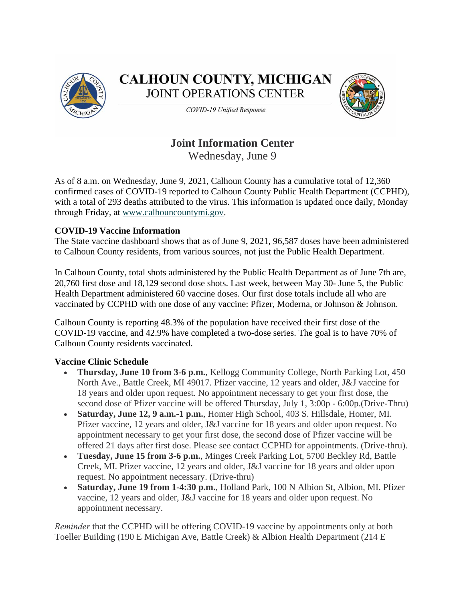

**CALHOUN COUNTY, MICHIGAN JOINT OPERATIONS CENTER** 



COVID-19 Unified Response

## **Joint Information Center**

Wednesday, June 9

As of 8 a.m. on Wednesday, June 9, 2021, Calhoun County has a cumulative total of 12,360 confirmed cases of COVID-19 reported to Calhoun County Public Health Department (CCPHD), with a total of 293 deaths attributed to the virus. This information is updated once daily, Monday through Friday, at [www.calhouncountymi.gov.](http://www.calhouncountymi.gov/)

### **COVID-19 Vaccine Information**

The State vaccine dashboard shows that as of June 9, 2021, 96,587 doses have been administered to Calhoun County residents, from various sources, not just the Public Health Department.

In Calhoun County, total shots administered by the Public Health Department as of June 7th are, 20,760 first dose and 18,129 second dose shots. Last week, between May 30- June 5, the Public Health Department administered 60 vaccine doses. Our first dose totals include all who are vaccinated by CCPHD with one dose of any vaccine: Pfizer, Moderna, or Johnson & Johnson.

Calhoun County is reporting 48.3% of the population have received their first dose of the COVID-19 vaccine, and 42.9% have completed a two-dose series. The goal is to have 70% of Calhoun County residents vaccinated.

## **Vaccine Clinic Schedule**

- **Thursday, June 10 from 3-6 p.m.**, Kellogg Community College, North Parking Lot, 450 North Ave., Battle Creek, MI 49017. Pfizer vaccine, 12 years and older, J&J vaccine for 18 years and older upon request. No appointment necessary to get your first dose, the second dose of Pfizer vaccine will be offered Thursday, July 1, 3:00p - 6:00p.(Drive-Thru)
- **Saturday, June 12, 9 a.m.-1 p.m.**, Homer High School, 403 S. Hillsdale, Homer, MI. Pfizer vaccine, 12 years and older, J&J vaccine for 18 years and older upon request. No appointment necessary to get your first dose, the second dose of Pfizer vaccine will be offered 21 days after first dose. Please see contact CCPHD for appointments. (Drive-thru).
- **Tuesday, June 15 from 3-6 p.m.**, Minges Creek Parking Lot, 5700 Beckley Rd, Battle Creek, MI. Pfizer vaccine, 12 years and older, J&J vaccine for 18 years and older upon request. No appointment necessary. (Drive-thru)
- **Saturday, June 19 from 1-4:30 p.m.**, Holland Park, 100 N Albion St, Albion, MI. Pfizer vaccine, 12 years and older, J&J vaccine for 18 years and older upon request. No appointment necessary.

*Reminder* that the CCPHD will be offering COVID-19 vaccine by appointments only at both Toeller Building (190 E Michigan Ave, Battle Creek) & Albion Health Department (214 E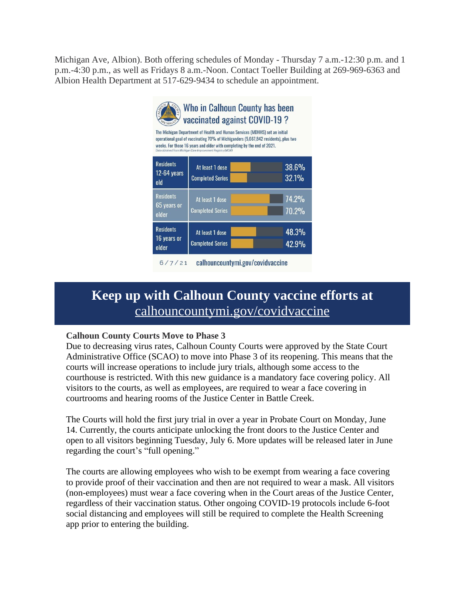Michigan Ave, Albion). Both offering schedules of Monday - Thursday 7 a.m.-12:30 p.m. and 1 p.m.-4:30 p.m., as well as Fridays 8 a.m.-Noon. Contact Toeller Building at 269-969-6363 and Albion Health Department at 517-629-9434 to schedule an appointment.



# **Keep up with Calhoun County vaccine efforts at** [calhouncountymi.gov/covidvaccine](https://calhouncountymi.gov/departments/public_health_department/covid_vaccine.php)

### **[Calhoun County Courts Move to Phase 3](https://calhouncountymi.gov/departments/public_health_department/covid_vaccine.php)**

[Due to decreasing virus rates, Calhoun County Courts were approved by the State Court](https://calhouncountymi.gov/departments/public_health_department/covid_vaccine.php)  [Administrative Office \(SCAO\) to move into Phase 3 of its reopening. This means that the](https://calhouncountymi.gov/departments/public_health_department/covid_vaccine.php)  [courts will increase operations to include jury trials, although some access to the](https://calhouncountymi.gov/departments/public_health_department/covid_vaccine.php)  [courthouse is restricted. With this new guidance is a mandatory face covering policy. All](https://calhouncountymi.gov/departments/public_health_department/covid_vaccine.php)  [visitors to the courts, as well as employees, are required to wear a face covering in](https://calhouncountymi.gov/departments/public_health_department/covid_vaccine.php)  [courtrooms and hearing rooms of the Justice Center in Battle Creek.](https://calhouncountymi.gov/departments/public_health_department/covid_vaccine.php)

[The Courts will hold the first jury trial in over a year in Probate Court on Monday, June](https://calhouncountymi.gov/departments/public_health_department/covid_vaccine.php)  [14. Currently, the courts anticipate unlocking the front doors to the Justice Center and](https://calhouncountymi.gov/departments/public_health_department/covid_vaccine.php)  [open to all visitors beginning Tuesday, July 6. More updates will be released later in June](https://calhouncountymi.gov/departments/public_health_department/covid_vaccine.php)  [regarding the court](https://calhouncountymi.gov/departments/public_health_department/covid_vaccine.php)'s "full opening."

[The courts are allowing employees who wish to be exempt from wearing a face covering](https://calhouncountymi.gov/departments/public_health_department/covid_vaccine.php)  [to provide proof of their vaccination and then are not required to wear a mask. All visitors](https://calhouncountymi.gov/departments/public_health_department/covid_vaccine.php)  [\(non-employees\) must wear a face covering when in the Court areas of the Justice Center,](https://calhouncountymi.gov/departments/public_health_department/covid_vaccine.php)  [regardless of their vaccination status. Other ongoing COVID-19 protocols include 6-foot](https://calhouncountymi.gov/departments/public_health_department/covid_vaccine.php)  [social distancing and employees will still be required to complete the Health Screening](https://calhouncountymi.gov/departments/public_health_department/covid_vaccine.php)  [app prior to entering the building.](https://calhouncountymi.gov/departments/public_health_department/covid_vaccine.php)